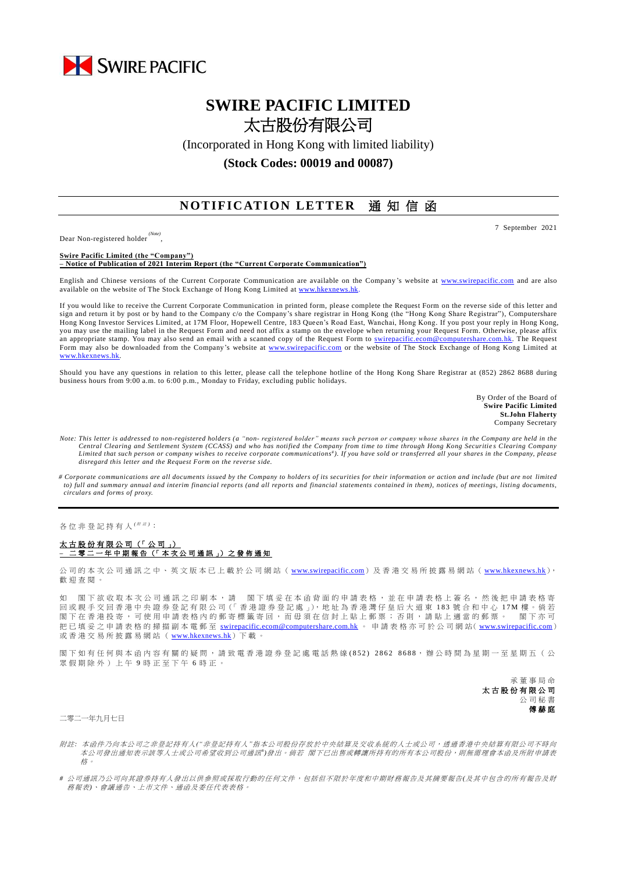

## **SWIRE PACIFIC LIMITED** 太古股份有限公司

(Incorporated in Hong Kong with limited liability)

**(Stock Codes: 00019 and 00087)**

## **NOTIFICATION LETTER** 通知信函

Dear Non-registered holder *(Note)*

,

**Swire Pacific Limited (the "Company") – Notice of Publication of 2021 Interim Report (the "Current Corporate Communication")**

English and Chinese versions of the Current Corporate Communication are available on the Company 's website at [www.swirepacific.com](http://www.swirepacific.com/) and are also available on the website of The Stock Exchange of Hong Kong Limited a[t www.hkexnews.hk.](http://www.hkexnews.hk/)

If you would like to receive the Current Corporate Communication in printed form, please complete the Request Form on the reverse side of this letter and sign and return it by post or by hand to the Company c/o the Company's share registrar in Hong Kong (the "Hong Kong Share Registrar"), Computershare Hong Kong Investor Services Limited, at 17M Floor, Hopewell Centre, 183 Queen's Road East, Wanchai, Hong Kong. If you post your reply in Hong Kong, you may use the mailing label in the Request Form and need not affix a stamp on the envelope when returning your Request Form. Otherwise, please affix an appropriate stamp. You may also send an email with a scanned copy of the Request Form to [swirepacific.ecom@computershare.com.hk.](mailto:swirepacific.ecom@computershare.com.hk) The Request Form may also be downloaded from the Company's website at [www.swirepacific.com](http://www.swirepacific.com/) or the website of The Stock Exchange of Hong Kong Limited at [www.hkexnews.hk.](http://www.hkexnews.hk/)

Should you have any questions in relation to this letter, please call the telephone hotline of the Hong Kong Share Registrar at (852) 2862 8688 during business hours from 9:00 a.m. to 6:00 p.m., Monday to Friday, excluding public holidays.

> By Order of the Board of **Swire Pacific Limited St.John Flaherty** Company Secretary

- *Note: This letter is addressed to non-registered holders (a "non- registered holder" means such person or company whose shares in the Company are held in the Central Clearing and Settlement System (CCASS) and who has notified the Company from time to time through Hong Kong Securitie s Clearing Company*  Limited that such person or company wishes to receive corporate communications<sup>#</sup>). If you have sold or transferred all your shares in the Company, please *disregard this letter and the Request Form on the reverse side.*
- *# Corporate communications are all documents issued by the Company to holders of its securities for their information or action and include (but are not limited to) full and summary annual and interim financial reports (and all reports and financial statements contained in them), notices of meetings, listing documents, circulars and forms of proxy.*

各位非登記持有人<sup>( ##)</sup>:

## 太古股份有限公司 (「 公 司 」) **–** 二 零 二 一 年 中期報告 (「 本 次 公 司 通 訊 」) 之 發 佈 通 知

公司的本次公司通訊之中、英文版本已上載於公司網站 ([www.swirepacific.com](http://www.swirepacific.com/)) 及香港交易所披露易網站 ([www.hkexnews.hk](http://www.hkexnews.hk/)), 歡 迎 查閱。

如 閣下欲收取本次公司通訊之印刷本,請 閣下填妥在本函背面的申請表格,並在申請表格上簽名,然後把申請表格寄 回 或親手交回 香 港 中 央 證 券 登 記 有 限 公 司(「 香 港 證 券 登 記 處 」), 地 址 為 香 港 灣 仔 皇 后 大 道 東 1 8 3 號合和中心 1 7 M 樓 。 倘 若 閣下在香港投寄,可使用申請表格內的郵寄標籤寄回,而毋須在信封上貼上郵票;否則,請貼上適當的郵票。 閣下亦可 把已填妥之申請表格的掃描副本電郵至 [swirepacific.ecom@computershare.com.hk](mailto:swirepacific.ecom@computershare.com.hk) 。 申請表格亦可於公司網站( [www.swirepacific.com](http://www.swirepacific.com/)) 或香港交易所披露易網站 ( [www.hkexnews.hk](http://www.hkexnews.hk/)) 下載。

閣下如有任何與本函內容有關的疑問,請致電香港證券登記處電話熱線(852) 2862 8688,辦公時間為星期一至星期五(公 眾假期除外)上午 9 時正至下午 6 時正。

> 承董事 局 命 太古股份有限公司 公司秘書 傅赫庭

二零二一年九月七日

- 附註*:* 本函件乃向本公司之非登記持有人*("*非登記持有人*"*指本公司股份存放於中央結算及交收系統的人士或公司,透過香港中央結算有限公司不時向 本公司發出通知表示該等人士或公司希望收到公司通訊")發出。 倘若 閣下已出售或轉讓所持有的所有本公司股份,則無需理會本函及所附申請表 格。
- *#* 公司通訊乃公司向其證券持有人發出以供參照或採取行動的任何文件,包括但不限於年度和中期財務報告及其摘要報告*(*及其中包含的所有報告及財 務報表*)*、會議通告、上市文件、通函及委任代表表格。

7 September 2021